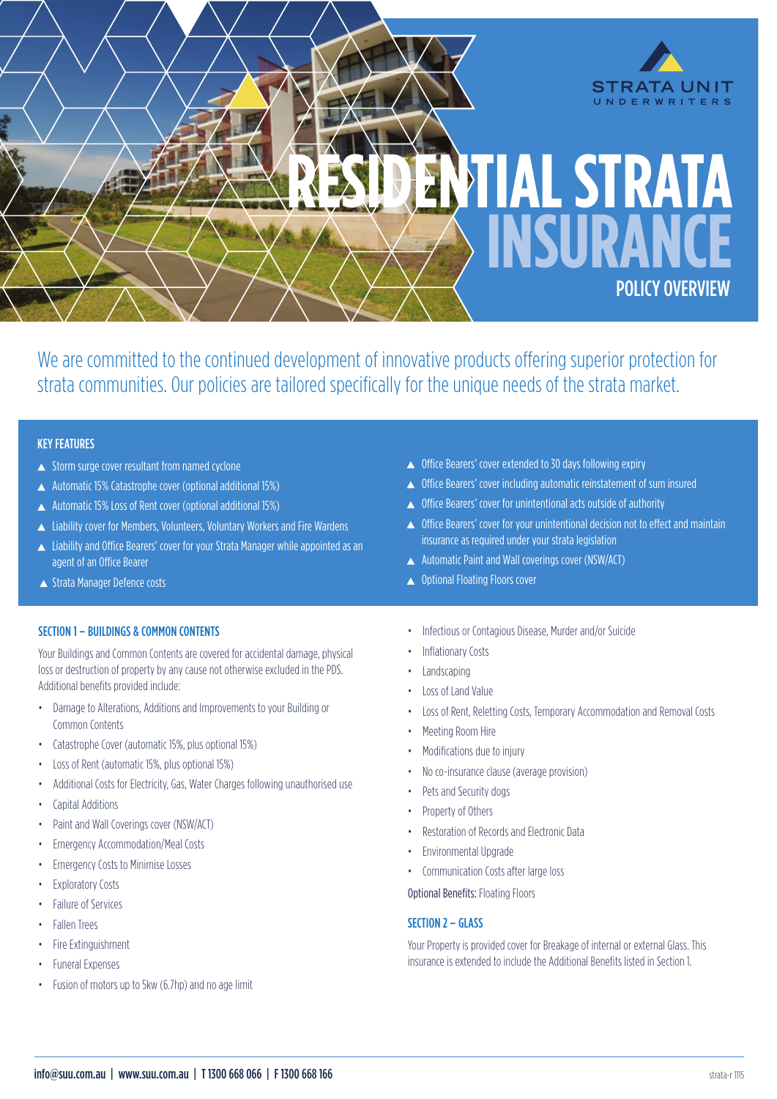

We are committed to the continued development of innovative products offering superior protection for strata communities. Our policies are tailored specifically for the unique needs of the strata market.

# KEY FEATURES

- Storm surge cover resultant from named cyclone
- Automatic 15% Catastrophe cover (optional additional 15%)
- Automatic 15% Loss of Rent cover (optional additional 15%)
- ▲ Liability cover for Members, Volunteers, Voluntary Workers and Fire Wardens
- ▲ Liability and Office Bearers' cover for your Strata Manager while appointed as an agent of an Office Bearer
- ▲ Strata Manager Defence costs

# SECTION 1 – BUILDINGS & COMMON CONTENTS

Your Buildings and Common Contents are covered for accidental damage, physical loss or destruction of property by any cause not otherwise excluded in the PDS. Additional benefits provided include:

- Damage to Alterations, Additions and Improvements to your Building or Common Contents
- Catastrophe Cover (automatic 15%, plus optional 15%)
- Loss of Rent (automatic 15%, plus optional 15%)
- Additional Costs for Electricity, Gas, Water Charges following unauthorised use
- Capital Additions
- Paint and Wall Coverings cover (NSW/ACT)
- Emergency Accommodation/Meal Costs
- Emergency Costs to Minimise Losses
- Exploratory Costs
- Failure of Services
- Fallen Trees
- Fire Extinguishment
- Funeral Expenses
- Fusion of motors up to 5kw (6.7hp) and no age limit
- ▲ Office Bearers' cover extended to 30 days following expiry
- ▲ Office Bearers' cover including automatic reinstatement of sum insured
- ▲ Office Bearers' cover for unintentional acts outside of authority
- ▲ Office Bearers' cover for your unintentional decision not to effect and maintain insurance as required under your strata legislation
- ▲ Automatic Paint and Wall coverings cover (NSW/ACT)
- ▲ Optional Floating Floors cover
- Infectious or Contagious Disease, Murder and/or Suicide
- Inflationary Costs
- **Landscaping**
- Loss of Land Value
- Loss of Rent, Reletting Costs, Temporary Accommodation and Removal Costs
- Meeting Room Hire
- Modifications due to injury
- No co-insurance clause (average provision)
- Pets and Security dogs
- Property of Others
- Restoration of Records and Electronic Data
- Environmental Upgrade
- Communication Costs after large loss

Optional Benefits: Floating Floors

### SECTION 2 – GLASS

Your Property is provided cover for Breakage of internal or external Glass. This insurance is extended to include the Additional Benefits listed in Section 1.